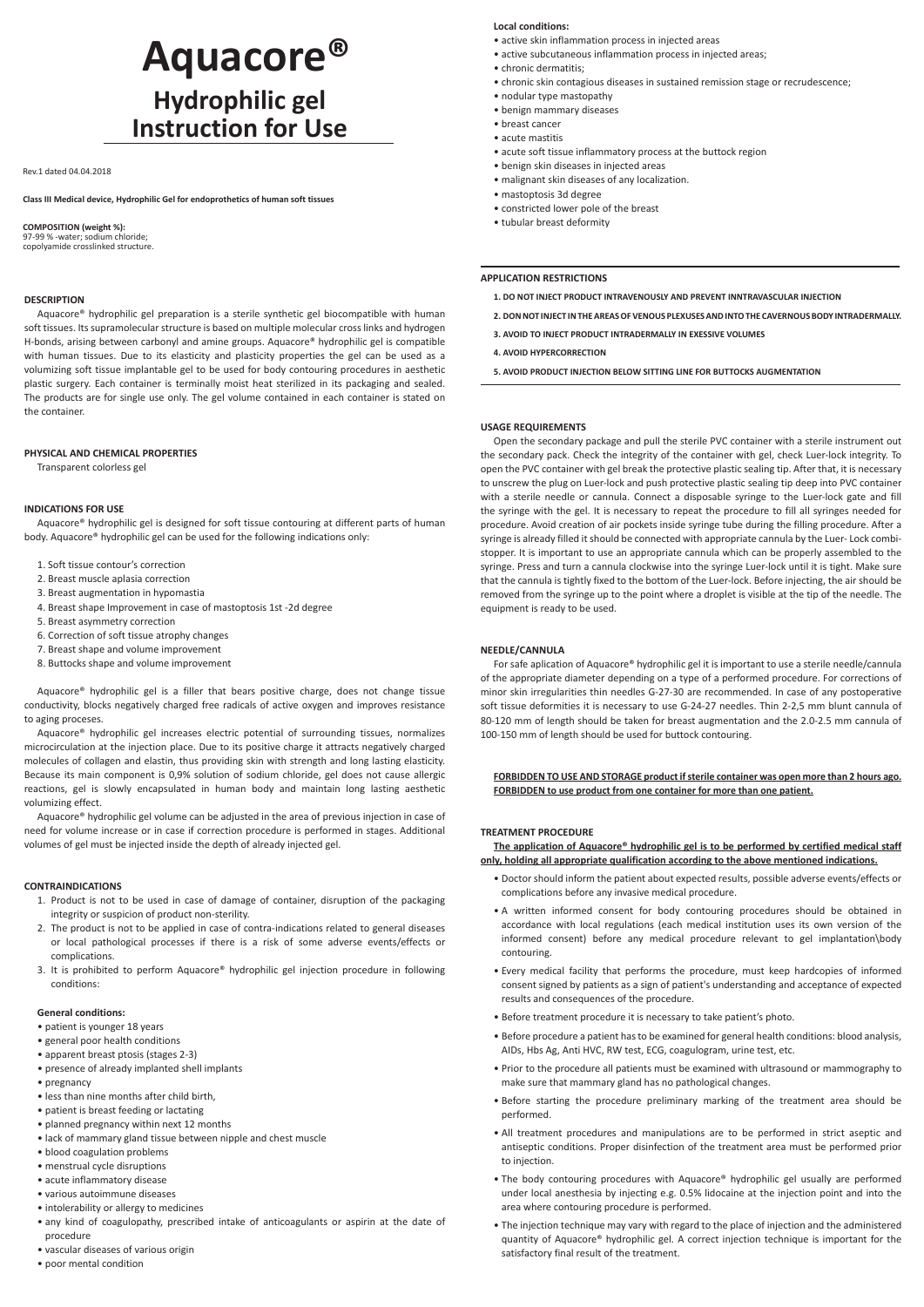# **Aquacore® Hydrophilic gel Instruction for Use**

#### Rev.1 dated 04.04.2018

**Class III Medical device, Hydrophilic Gel for endoprothetics of human soft tissues**

# **COMPOSITION (weight %):**

97-99 % -water; sodium chloride; copolyamide crosslinked structure.

## **DESCRIPTION**

Aquacore® hydrophilic gel preparation is a sterile synthetic gel biocompatible with human soft tissues. Its supramolecular structure is based on multiple molecular cross links and hydrogen H-bonds, arising between carbonyl and amine groups. Aquacore® hydrophilic gel is compatible with human tissues. Due to its elasticity and plasticity properties the gel can be used as a volumizing soft tissue implantable gel to be used for body contouring procedures in aesthetic plastic surgery. Each container is terminally moist heat sterilized in its packaging and sealed. The products are for single use only. The gel volume contained in each container is stated on the container.

## **PHYSICAL AND CHEMICAL PROPERTIES**

Transparent colorless gel

# **INDICATIONS FOR USE**

Aquacore® hydrophilic gel is designed for soft tissue contouring at different parts of human body. Aquacore® hydrophilic gel can be used for the following indications only:

- 1. Soft tissue contour's correction
- 2. Breast muscle aplasia correction
- 3. Breast augmentation in hypomastia
- 4. Breast shape Improvement in case of mastoptosis 1st -2d degree
- 5. Breast asymmetry correction
- 6. Correction of soft tissue atrophy changes
- 7. Breast shape and volume improvement
- 8. Buttocks shape and volume improvement

Aquacore® hydrophilic gel is a filler that bears positive charge, does not change tissue conductivity, blocks negatively charged free radicals of active oxygen and improves resistance to aging proceses.

Aquacore® hydrophilic gel increases electric potential of surrounding tissues, normalizes microcirculation at the injection place. Due to its positive charge it attracts negatively charged molecules of collagen and elastin, thus providing skin with strength and long lasting elasticity. Because its main component is 0,9% solution of sodium chloride, gel does not cause allergic reactions, gel is slowly encapsulated in human body and maintain long lasting aesthetic volumizing effect.

Aquacore® hydrophilic gel volume can be adjusted in the area of previous injection in case of need for volume increase or in case if correction procedure is performed in stages. Additional volumes of gel must be injected inside the depth of already injected gel.

#### **CONTRAINDICATIONS**

- 1. Product is not to be used in case of damage of container, disruption of the packaging integrity or suspicion of product non-sterility.
- 2. The product is not to be applied in case of contra-indications related to general diseases or local pathological processes if there is a risk of some adverse events/effects or complications.
- 3. It is prohibited to perform Aquacore® hydrophilic gel injection procedure in following conditions:

#### **General conditions:**

- patient is younger 18 years
- general poor health conditions
- apparent breast ptosis (stages 2-3)
- presence of already implanted shell implants
- pregnancy
- less than nine months after child birth,
- patient is breast feeding or lactating
- planned pregnancy within next 12 months
- lack of mammary gland tissue between nipple and chest muscle
- • blood coagulation problems
- • menstrual cycle disruptions
- • acute inflammatory disease
- • various autoimmune diseases
- • intolerability or allergy to medicines
- • any kind of coagulopathy, prescribed intake of anticoagulants or aspirin at the date of procedure
- • vascular diseases of various origin
- • poor mental condition

## **Local conditions:**

- • active skin inflammation process in injected areas
- • active subcutaneous inflammation process in injected areas;
- • chronic dermatitis;
- • chronic skin contagious diseases in sustained remission stage or recrudescence;
- • nodular type mastopathy
- • benign mammary diseases
- • breast cancer
- • acute mastitis
- • acute soft tissue inflammatory process at the buttock region
- • benign skin diseases in injected areas
- • malignant skin diseases of any localization.
- • mastoptosis 3d degree
- • constricted lower pole of the breast
- • tubular breast deformity

# **APPLICATION RESTRICTIONS**

- **1. DO NOT INJECT PRODUCT INTRAVENOUSLY AND PREVENT INNTRAVASCULAR INJECTION**
- **2. DON NOT INJECT IN THE AREAS OF VENOUS PLEXUSES AND INTO THE CAVERNOUS BODY INTRADERMALLY.**
- **3. AVOID TO INJECT PRODUCT INTRADERMALLY IN EXESSIVE VOLUMES**
- **4. AVOID HYPERCORRECTION**
- **5. AVOID PRODUCT INJECTION BELOW SITTING LINE FOR BUTTOCKS AUGMENTATION**

## **USAGE REQUIREMENTS**

Open the secondary package and pull the sterile PVC container with a sterile instrument out the secondary pack. Check the integrity of the container with gel, check Luer-lock integrity. To open the PVC container with gel break the protective plastic sealing tip. After that, it is necessary to unscrew the plug on Luer-lock and push protective plastic sealing tip deep into PVC container with a sterile needle or cannula. Connect a disposable syringe to the Luer-lock gate and fill the syringe with the gel. It is necessary to repeat the procedure to fill all syringes needed for procedure. Avoid creation of air pockets inside syringe tube during the filling procedure. After a syringe is already filled it should be connected with appropriate cannula by the Luer- Lock combistopper. It is important to use an appropriate cannula which can be properly assembled to the syringe. Press and turn a cannula clockwise into the syringe Luer-lock until it is tight. Make sure that the cannula is tightly fixed to the bottom of the Luer-lock. Before injecting, the air should be removed from the syringe up to the point where a droplet is visible at the tip of the needle. The equipment is ready to be used.

#### **NEEDLE/CANNULA**

For safe aplication of Aquacore® hydrophilic gel it is important to use a sterile needle/cannula of the appropriate diameter depending on a type of a performed procedure. For corrections of minor skin irregularities thin needles G-27-30 are recommended. In case of any postoperative soft tissue deformities it is necessary to use G-24-27 needles. Thin 2-2,5 mm blunt cannula of 80-120 mm of length should be taken for breast augmentation and the 2.0-2.5 mm cannula of 100-150 mm of length should be used for buttock contouring.

**FORBIDDEN TO USE AND STORAGE product if sterile container was open more than 2 hours ago. FORBIDDEN to use product from one container for more than one patient.**

#### **TREATMENT PROCEDURE**

**The application of Aquacore® hydrophilic gel is to be performed by certified medical staff only, holding all appropriate qualification according to the above mentioned indications.**

- • Doctor should inform the patient about expected results, possible adverse events/effects or complications before any invasive medical procedure.
- • A written informed consent for body contouring procedures should be obtained in accordance with local regulations (each medical institution uses its own version of the informed consent) before any medical procedure relevant to gel implantation\body contouring.
- • Every medical facility that performs the procedure, must keep hardcopies of informed consent signed by patients as a sign of patient's understanding and acceptance of expected results and consequences of the procedure.
- • Before treatment procedure it is necessary to take patient's photo.
- • Before procedure a patient has to be examined for general health conditions: blood analysis, AIDs, Hbs Ag, Anti HVC, RW test, ECG, coagulogram, urine test, etc.
- • Prior to the procedure all patients must be examined with ultrasound or mammography to make sure that mammary gland has no pathological changes.
- • Before starting the procedure preliminary marking of the treatment area should be performed.
- • All treatment procedures and manipulations are to be performed in strict aseptic and antiseptic conditions. Proper disinfection of the treatment area must be performed prior to injection.
- • The body contouring procedures with Aquacore® hydrophilic gel usually are performed under local anesthesia by injecting e.g. 0.5% lidocaine at the injection point and into the area where contouring procedure is performed.
- • The injection technique may vary with regard to the place of injection and the administered quantity of Aquacore® hydrophilic gel. A correct injection technique is important for the satisfactory final result of the treatment.